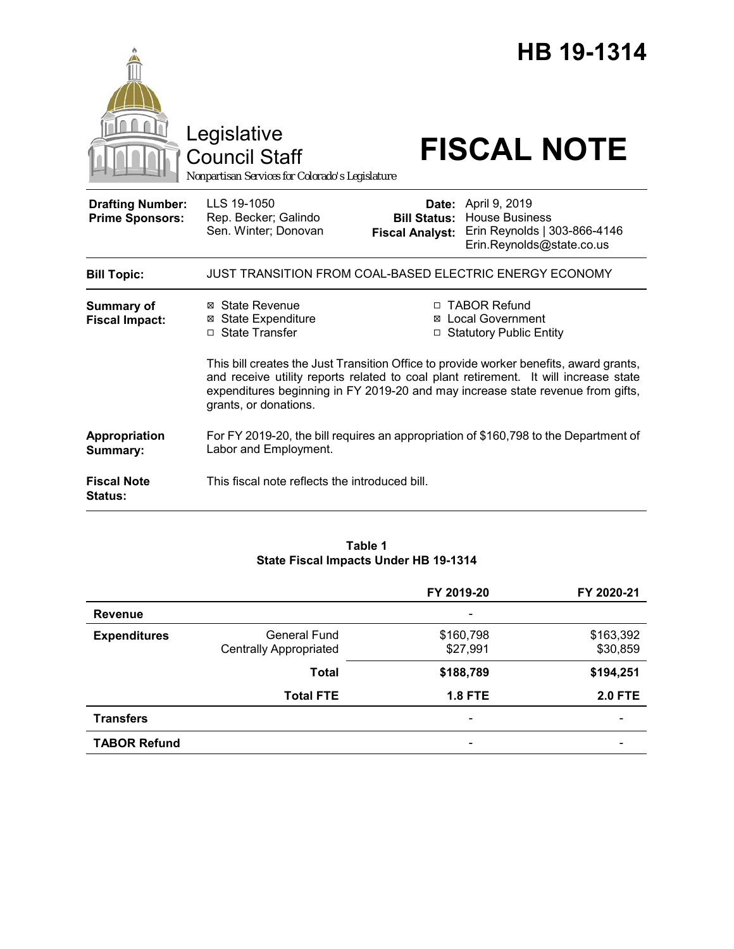|                                                   | Legislative<br><b>Council Staff</b><br>Nonpartisan Services for Colorado's Legislature |                                               | HB 19-1314<br><b>FISCAL NOTE</b>                                                                                                                                                                                                                                                                                                       |
|---------------------------------------------------|----------------------------------------------------------------------------------------|-----------------------------------------------|----------------------------------------------------------------------------------------------------------------------------------------------------------------------------------------------------------------------------------------------------------------------------------------------------------------------------------------|
| <b>Drafting Number:</b><br><b>Prime Sponsors:</b> | LLS 19-1050<br>Rep. Becker; Galindo<br>Sen. Winter; Donovan                            | <b>Bill Status:</b><br><b>Fiscal Analyst:</b> | <b>Date:</b> April 9, 2019<br><b>House Business</b><br>Erin Reynolds   303-866-4146<br>Erin.Reynolds@state.co.us                                                                                                                                                                                                                       |
| <b>Bill Topic:</b>                                | JUST TRANSITION FROM COAL-BASED ELECTRIC ENERGY ECONOMY                                |                                               |                                                                                                                                                                                                                                                                                                                                        |
| <b>Summary of</b><br><b>Fiscal Impact:</b>        | ⊠ State Revenue<br><b>State Expenditure</b><br>⊠<br>□ State Transfer                   |                                               | □ TABOR Refund<br>⊠ Local Government<br>□ Statutory Public Entity<br>This bill creates the Just Transition Office to provide worker benefits, award grants,<br>and receive utility reports related to coal plant retirement. It will increase state<br>expenditures beginning in FY 2019-20 and may increase state revenue from gifts, |
| Appropriation                                     | grants, or donations.                                                                  |                                               | For FY 2019-20, the bill requires an appropriation of \$160,798 to the Department of                                                                                                                                                                                                                                                   |
| Summary:                                          | Labor and Employment.                                                                  |                                               |                                                                                                                                                                                                                                                                                                                                        |
| <b>Fiscal Note</b><br><b>Status:</b>              | This fiscal note reflects the introduced bill.                                         |                                               |                                                                                                                                                                                                                                                                                                                                        |

## **Table 1 State Fiscal Impacts Under HB 19-1314**

|                     |                               | FY 2019-20                   | FY 2020-21     |
|---------------------|-------------------------------|------------------------------|----------------|
| <b>Revenue</b>      |                               | $\qquad \qquad \blacksquare$ |                |
| <b>Expenditures</b> | General Fund                  | \$160,798                    | \$163,392      |
|                     | <b>Centrally Appropriated</b> | \$27,991                     | \$30,859       |
|                     | <b>Total</b>                  | \$188,789                    | \$194,251      |
|                     | <b>Total FTE</b>              | <b>1.8 FTE</b>               | <b>2.0 FTE</b> |
| <b>Transfers</b>    |                               | $\qquad \qquad \blacksquare$ |                |
| <b>TABOR Refund</b> |                               |                              |                |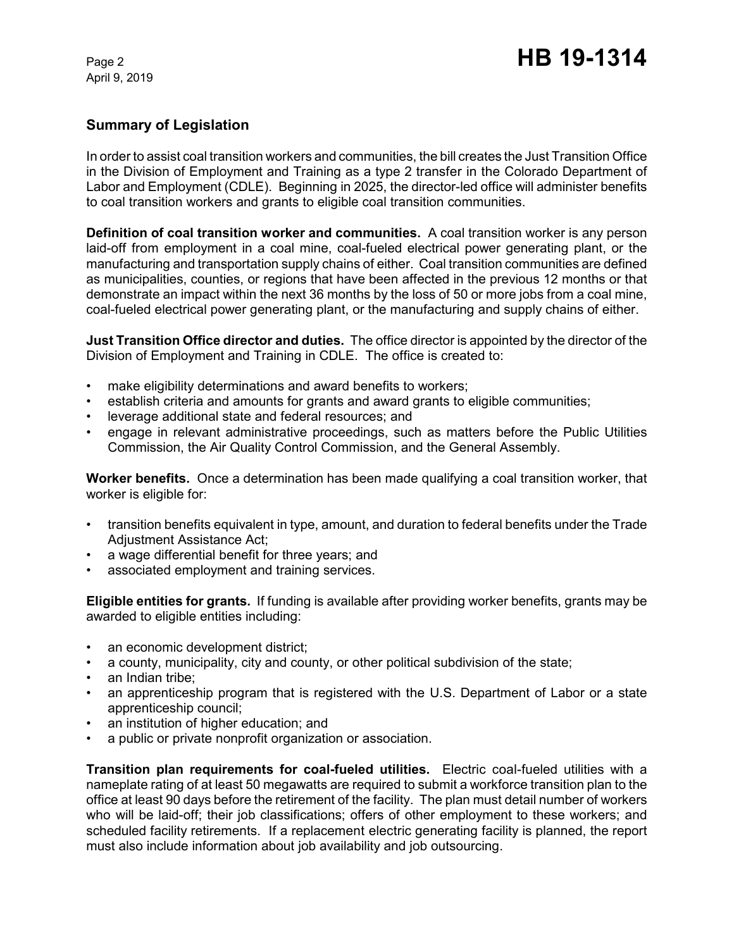# **Summary of Legislation**

In order to assist coal transition workers and communities, the bill creates the Just Transition Office in the Division of Employment and Training as a type 2 transfer in the Colorado Department of Labor and Employment (CDLE). Beginning in 2025, the director-led office will administer benefits to coal transition workers and grants to eligible coal transition communities.

**Definition of coal transition worker and communities.** A coal transition worker is any person laid-off from employment in a coal mine, coal-fueled electrical power generating plant, or the manufacturing and transportation supply chains of either. Coal transition communities are defined as municipalities, counties, or regions that have been affected in the previous 12 months or that demonstrate an impact within the next 36 months by the loss of 50 or more jobs from a coal mine, coal-fueled electrical power generating plant, or the manufacturing and supply chains of either.

**Just Transition Office director and duties.** The office director is appointed by the director of the Division of Employment and Training in CDLE. The office is created to:

- make eligibility determinations and award benefits to workers;
- establish criteria and amounts for grants and award grants to eligible communities;
- leverage additional state and federal resources; and
- engage in relevant administrative proceedings, such as matters before the Public Utilities Commission, the Air Quality Control Commission, and the General Assembly.

**Worker benefits.** Once a determination has been made qualifying a coal transition worker, that worker is eligible for:

- transition benefits equivalent in type, amount, and duration to federal benefits under the Trade Adjustment Assistance Act;
- a wage differential benefit for three years; and
- associated employment and training services.

**Eligible entities for grants.** If funding is available after providing worker benefits, grants may be awarded to eligible entities including:

- an economic development district;
- a county, municipality, city and county, or other political subdivision of the state;
- an Indian tribe:
- an apprenticeship program that is registered with the U.S. Department of Labor or a state apprenticeship council;
- an institution of higher education; and
- a public or private nonprofit organization or association.

**Transition plan requirements for coal-fueled utilities.** Electric coal-fueled utilities with a nameplate rating of at least 50 megawatts are required to submit a workforce transition plan to the office at least 90 days before the retirement of the facility. The plan must detail number of workers who will be laid-off; their job classifications; offers of other employment to these workers; and scheduled facility retirements. If a replacement electric generating facility is planned, the report must also include information about job availability and job outsourcing.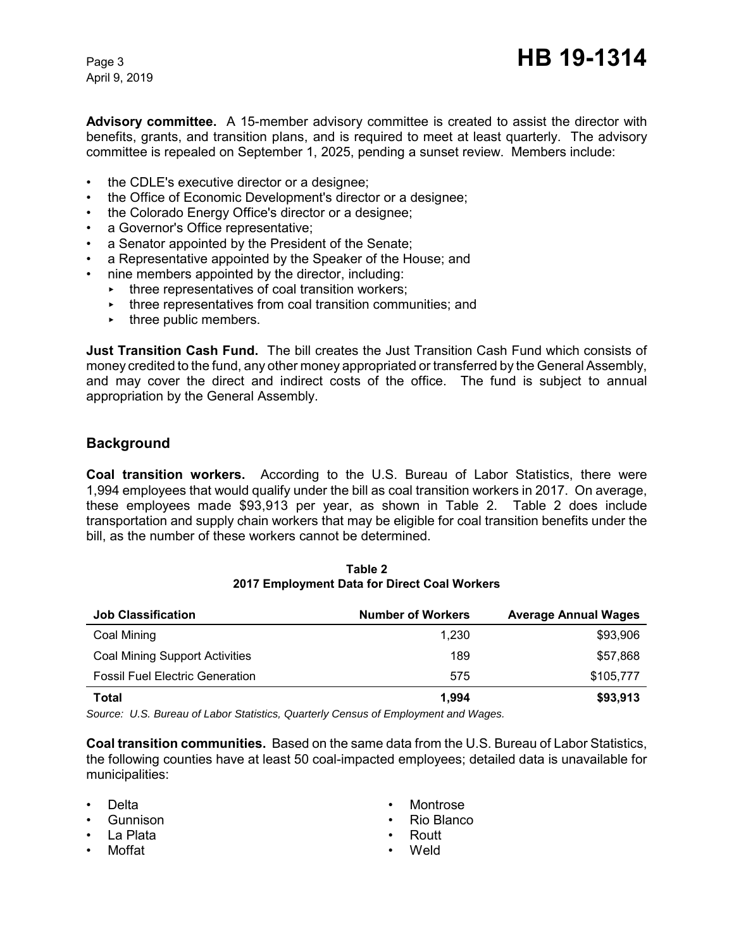**Advisory committee.** A 15-member advisory committee is created to assist the director with benefits, grants, and transition plans, and is required to meet at least quarterly. The advisory committee is repealed on September 1, 2025, pending a sunset review. Members include:

- the CDLE's executive director or a designee;
- the Office of Economic Development's director or a designee;
- the Colorado Energy Office's director or a designee;
- a Governor's Office representative;
- a Senator appointed by the President of the Senate;
- a Representative appointed by the Speaker of the House; and
- nine members appointed by the director, including:
	- $\cdot$  three representatives of coal transition workers;
	- $\rightarrow$  three representatives from coal transition communities; and
	- $\cdot$  three public members.

**Just Transition Cash Fund.** The bill creates the Just Transition Cash Fund which consists of money credited to the fund, any other money appropriated or transferred by the General Assembly, and may cover the direct and indirect costs of the office. The fund is subject to annual appropriation by the General Assembly.

## **Background**

**Coal transition workers.** According to the U.S. Bureau of Labor Statistics, there were 1,994 employees that would qualify under the bill as coal transition workers in 2017. On average, these employees made \$93,913 per year, as shown in Table 2. Table 2 does include transportation and supply chain workers that may be eligible for coal transition benefits under the bill, as the number of these workers cannot be determined.

| <b>Job Classification</b>              | <b>Number of Workers</b> | <b>Average Annual Wages</b> |
|----------------------------------------|--------------------------|-----------------------------|
| Coal Mining                            | 1.230                    | \$93,906                    |
| <b>Coal Mining Support Activities</b>  | 189                      | \$57,868                    |
| <b>Fossil Fuel Electric Generation</b> | 575                      | \$105,777                   |
| Total                                  | 1.994                    | \$93,913                    |

**Table 2 2017 Employment Data for Direct Coal Workers**

*Source: U.S. Bureau of Labor Statistics, Quarterly Census of Employment and Wages.*

**Coal transition communities.** Based on the same data from the U.S. Bureau of Labor Statistics, the following counties have at least 50 coal-impacted employees; detailed data is unavailable for municipalities:

- Delta
- Gunnison
- La Plata
- Moffat
- **Montrose**
- Rio Blanco
- Routt
- Weld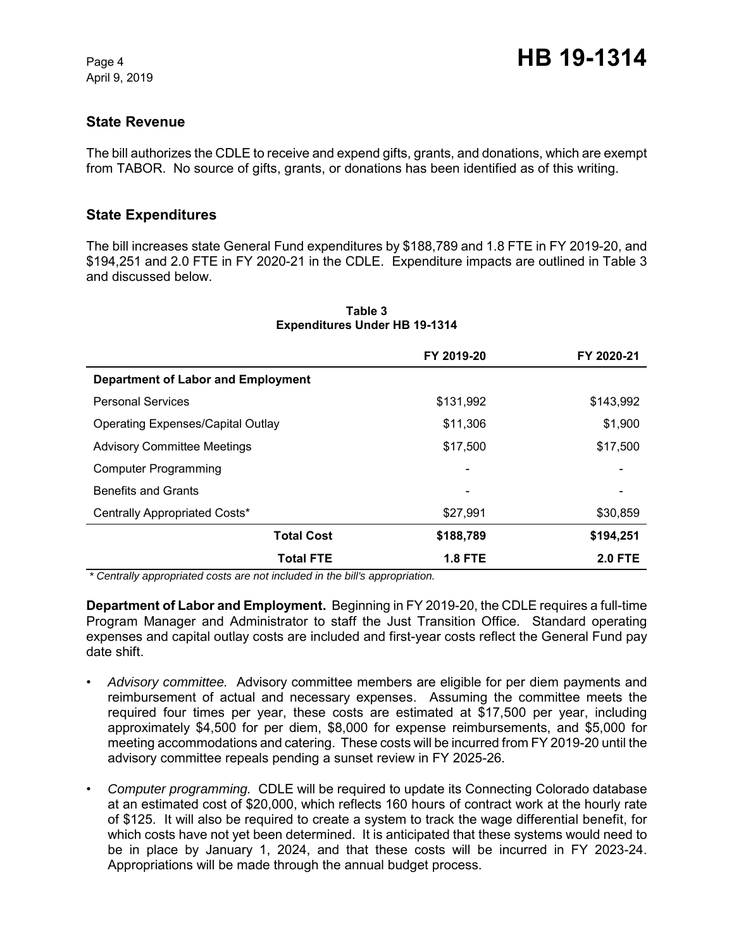## **State Revenue**

The bill authorizes the CDLE to receive and expend gifts, grants, and donations, which are exempt from TABOR. No source of gifts, grants, or donations has been identified as of this writing.

## **State Expenditures**

The bill increases state General Fund expenditures by \$188,789 and 1.8 FTE in FY 2019-20, and \$194,251 and 2.0 FTE in FY 2020-21 in the CDLE. Expenditure impacts are outlined in Table 3 and discussed below.

|                                           | FY 2019-20     | FY 2020-21     |  |
|-------------------------------------------|----------------|----------------|--|
| <b>Department of Labor and Employment</b> |                |                |  |
| <b>Personal Services</b>                  | \$131,992      | \$143,992      |  |
| <b>Operating Expenses/Capital Outlay</b>  | \$11,306       | \$1,900        |  |
| <b>Advisory Committee Meetings</b>        | \$17,500       | \$17,500       |  |
| <b>Computer Programming</b>               |                |                |  |
| <b>Benefits and Grants</b>                |                |                |  |
| Centrally Appropriated Costs*             | \$27,991       | \$30,859       |  |
| <b>Total Cost</b>                         | \$188,789      | \$194,251      |  |
| <b>Total FTE</b>                          | <b>1.8 FTE</b> | <b>2.0 FTE</b> |  |

#### **Table 3 Expenditures Under HB 19-1314**

 *\* Centrally appropriated costs are not included in the bill's appropriation.*

**Department of Labor and Employment.** Beginning in FY 2019-20, the CDLE requires a full-time Program Manager and Administrator to staff the Just Transition Office. Standard operating expenses and capital outlay costs are included and first-year costs reflect the General Fund pay date shift.

- *Advisory committee.* Advisory committee members are eligible for per diem payments and reimbursement of actual and necessary expenses. Assuming the committee meets the required four times per year, these costs are estimated at \$17,500 per year, including approximately \$4,500 for per diem, \$8,000 for expense reimbursements, and \$5,000 for meeting accommodations and catering. These costs will be incurred from FY 2019-20 until the advisory committee repeals pending a sunset review in FY 2025-26.
- *Computer programming.* CDLE will be required to update its Connecting Colorado database at an estimated cost of \$20,000, which reflects 160 hours of contract work at the hourly rate of \$125. It will also be required to create a system to track the wage differential benefit, for which costs have not yet been determined. It is anticipated that these systems would need to be in place by January 1, 2024, and that these costs will be incurred in FY 2023-24. Appropriations will be made through the annual budget process.